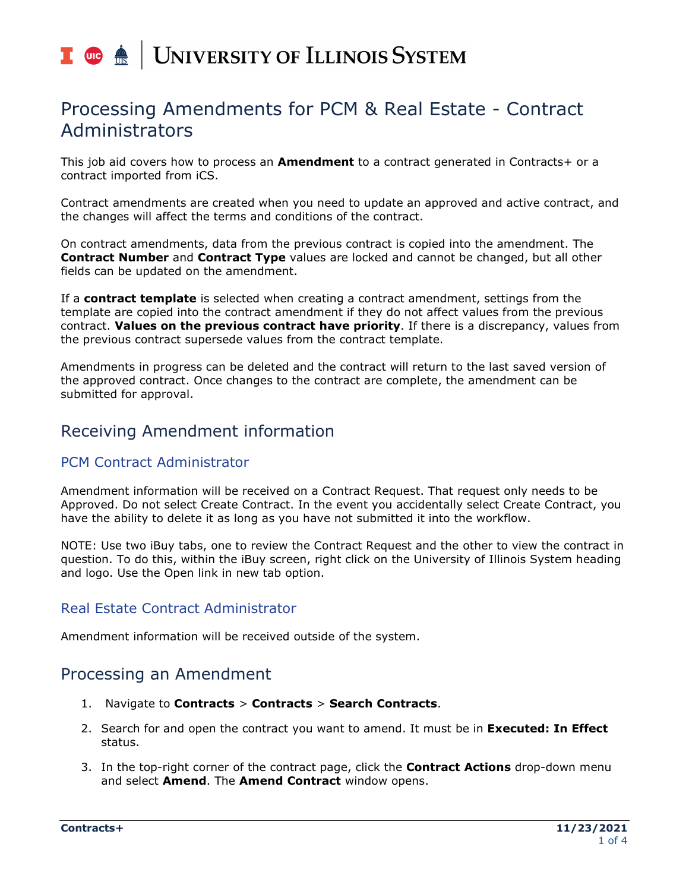# I **C**  $\triangle$  UNIVERSITY OF ILLINOIS SYSTEM

## Processing Amendments for PCM & Real Estate - Contract Administrators

This job aid covers how to process an **Amendment** to a contract generated in Contracts+ or a contract imported from iCS.

Contract amendments are created when you need to update an approved and active contract, and the changes will affect the terms and conditions of the contract.

On contract amendments, data from the previous contract is copied into the amendment. The **Contract Number** and **Contract Type** values are locked and cannot be changed, but all other fields can be updated on the amendment.

If a **contract template** is selected when creating a contract amendment, settings from the template are copied into the contract amendment if they do not affect values from the previous contract. **Values on the previous contract have priority**. If there is a discrepancy, values from the previous contract supersede values from the contract template.

Amendments in progress can be deleted and the contract will return to the last saved version of the approved contract. Once changes to the contract are complete, the amendment can be submitted for approval.

## Receiving Amendment information

#### PCM Contract Administrator

Amendment information will be received on a Contract Request. That request only needs to be Approved. Do not select Create Contract. In the event you accidentally select Create Contract, you have the ability to delete it as long as you have not submitted it into the workflow.

NOTE: Use two iBuy tabs, one to review the Contract Request and the other to view the contract in question. To do this, within the iBuy screen, right click on the University of Illinois System heading and logo. Use the Open link in new tab option.

#### Real Estate Contract Administrator

Amendment information will be received outside of the system.

## Processing an Amendment

- 1. Navigate to **Contracts** > **Contracts** > **Search Contracts**.
- 2. Search for and open the contract you want to amend. It must be in **Executed: In Effect** status.
- 3. In the top-right corner of the contract page, click the **Contract Actions** drop-down menu and select **Amend**. The **Amend Contract** window opens.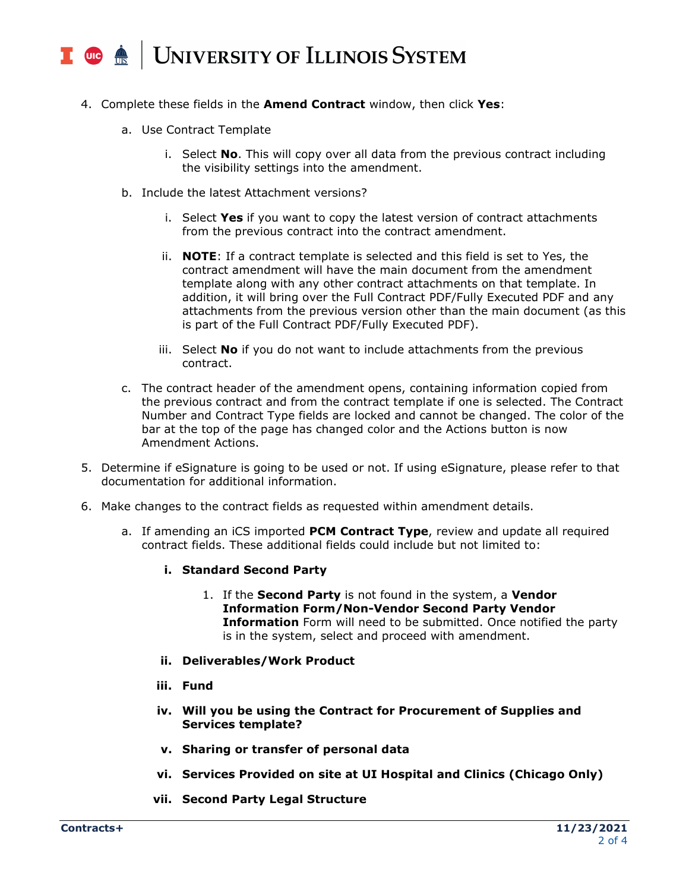#### | UNIVERSITY OF ILLINOIS SYSTEM  $\blacksquare$  (iii)  $\bigoplus$

- 4. Complete these fields in the **Amend Contract** window, then click **Yes**:
	- a. Use Contract Template
		- i. Select **No**. This will copy over all data from the previous contract including the visibility settings into the amendment.
	- b. Include the latest Attachment versions?
		- i. Select **Yes** if you want to copy the latest version of contract attachments from the previous contract into the contract amendment.
		- ii. **NOTE**: If a contract template is selected and this field is set to Yes, the contract amendment will have the main document from the amendment template along with any other contract attachments on that template. In addition, it will bring over the Full Contract PDF/Fully Executed PDF and any attachments from the previous version other than the main document (as this is part of the Full Contract PDF/Fully Executed PDF).
		- iii. Select **No** if you do not want to include attachments from the previous contract.
	- c. The contract header of the amendment opens, containing information copied from the previous contract and from the contract template if one is selected. The Contract Number and Contract Type fields are locked and cannot be changed. The color of the bar at the top of the page has changed color and the Actions button is now Amendment Actions.
- 5. Determine if eSignature is going to be used or not. If using eSignature, please refer to that documentation for additional information.
- 6. Make changes to the contract fields as requested within amendment details.
	- a. If amending an iCS imported **PCM Contract Type**, review and update all required contract fields. These additional fields could include but not limited to:
		- **i. Standard Second Party**
			- 1. If the **Second Party** is not found in the system, a **Vendor Information Form/Non-Vendor Second Party Vendor Information** Form will need to be submitted. Once notified the party is in the system, select and proceed with amendment.
		- **ii. Deliverables/Work Product**
		- **iii. Fund**
		- **iv. Will you be using the Contract for Procurement of Supplies and Services template?**
		- **v. Sharing or transfer of personal data**
		- **vi. Services Provided on site at UI Hospital and Clinics (Chicago Only)**
		- **vii. Second Party Legal Structure**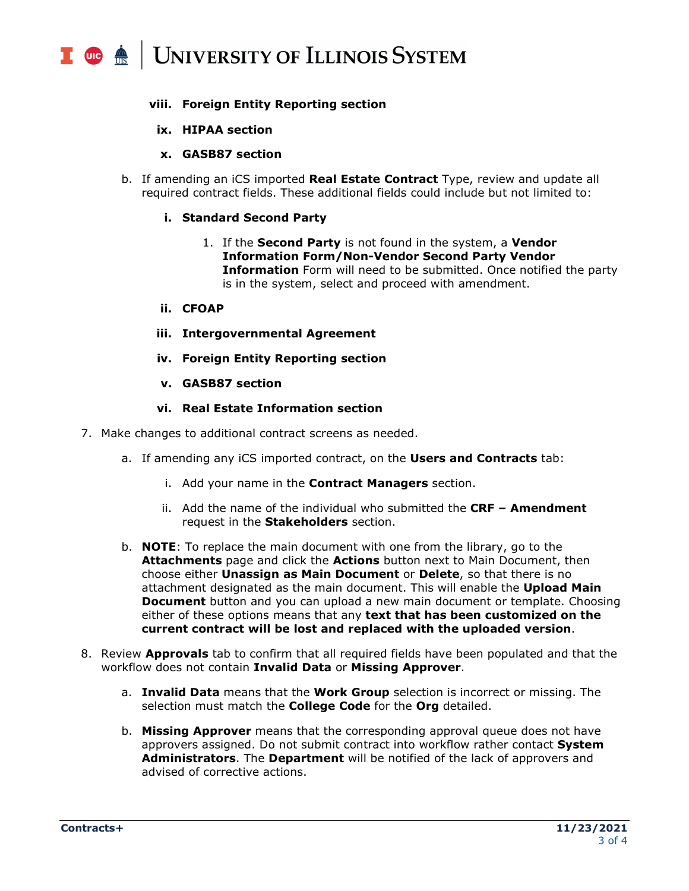#### **UNIVERSITY OF ILLINOIS SYSTEM**  $\frac{1}{\sqrt{10}}$  or  $\frac{1}{\sqrt{10}}$

#### **viii. Foreign Entity Reporting section**

#### **ix. HIPAA section**

#### **x. GASB87 section**

b. If amending an iCS imported **Real Estate Contract** Type, review and update all required contract fields. These additional fields could include but not limited to:

#### **i. Standard Second Party**

1. If the **Second Party** is not found in the system, a **Vendor Information Form/Non-Vendor Second Party Vendor Information** Form will need to be submitted. Once notified the party is in the system, select and proceed with amendment.

#### **ii. CFOAP**

- **iii. Intergovernmental Agreement**
- **iv. Foreign Entity Reporting section**
- **v. GASB87 section**

#### **vi. Real Estate Information section**

- 7. Make changes to additional contract screens as needed.
	- a. If amending any iCS imported contract, on the **Users and Contracts** tab:
		- i. Add your name in the **Contract Managers** section.
		- ii. Add the name of the individual who submitted the **CRF – Amendment** request in the **Stakeholders** section.
	- b. **NOTE**: To replace the main document with one from the library, go to the **Attachments** page and click the **Actions** button next to Main Document, then choose either **Unassign as Main Document** or **Delete**, so that there is no attachment designated as the main document. This will enable the **Upload Main Document** button and you can upload a new main document or template. Choosing either of these options means that any **text that has been customized on the current contract will be lost and replaced with the uploaded version**.
- 8. Review **Approvals** tab to confirm that all required fields have been populated and that the workflow does not contain **Invalid Data** or **Missing Approver**.
	- a. **Invalid Data** means that the **Work Group** selection is incorrect or missing. The selection must match the **College Code** for the **Org** detailed.
	- b. **Missing Approver** means that the corresponding approval queue does not have approvers assigned. Do not submit contract into workflow rather contact **System Administrators**. The **Department** will be notified of the lack of approvers and advised of corrective actions.